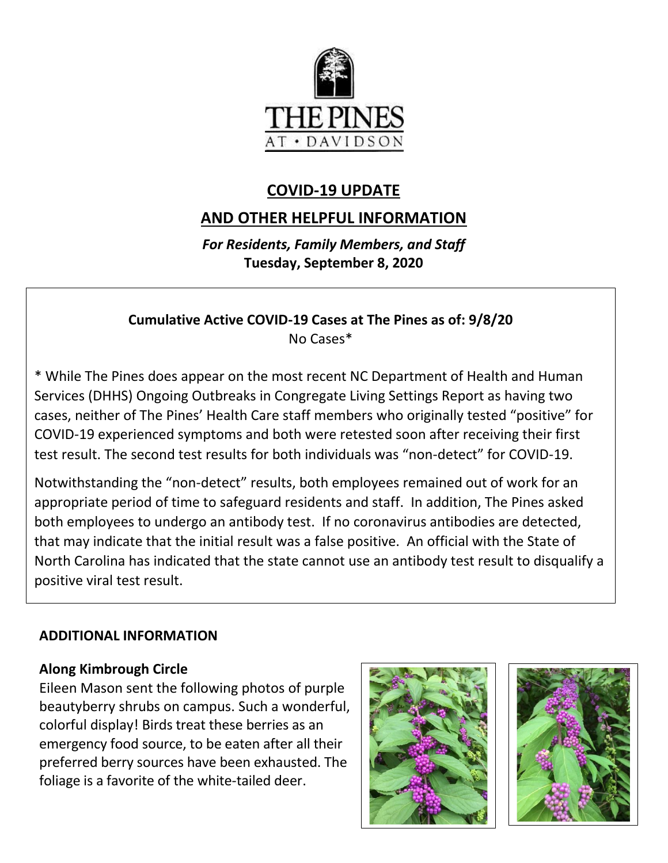

# **COVID-19 UPDATE**

## **AND OTHER HELPFUL INFORMATION**

*For Residents, Family Members, and Staff* **Tuesday, September 8, 2020**

#### **Cumulative Active COVID-19 Cases at The Pines as of: 9/8/20** No Cases\*

\* While The Pines does appear on the most recent NC Department of Health and Human Services (DHHS) Ongoing Outbreaks in Congregate Living Settings Report as having two cases, neither of The Pines' Health Care staff members who originally tested "positive" for COVID-19 experienced symptoms and both were retested soon after receiving their first test result. The second test results for both individuals was "non-detect" for COVID-19.

Notwithstanding the "non-detect" results, both employees remained out of work for an appropriate period of time to safeguard residents and staff. In addition, The Pines asked both employees to undergo an antibody test. If no coronavirus antibodies are detected, that may indicate that the initial result was a false positive. An official with the State of North Carolina has indicated that the state cannot use an antibody test result to disqualify a positive viral test result.

#### **ADDITIONAL INFORMATION**

#### **Along Kimbrough Circle**

Eileen Mason sent the following photos of purple beautyberry shrubs on campus. Such a wonderful, colorful display! Birds treat these berries as an emergency food source, to be eaten after all their preferred berry sources have been exhausted. The foliage is a favorite of the white-tailed deer.



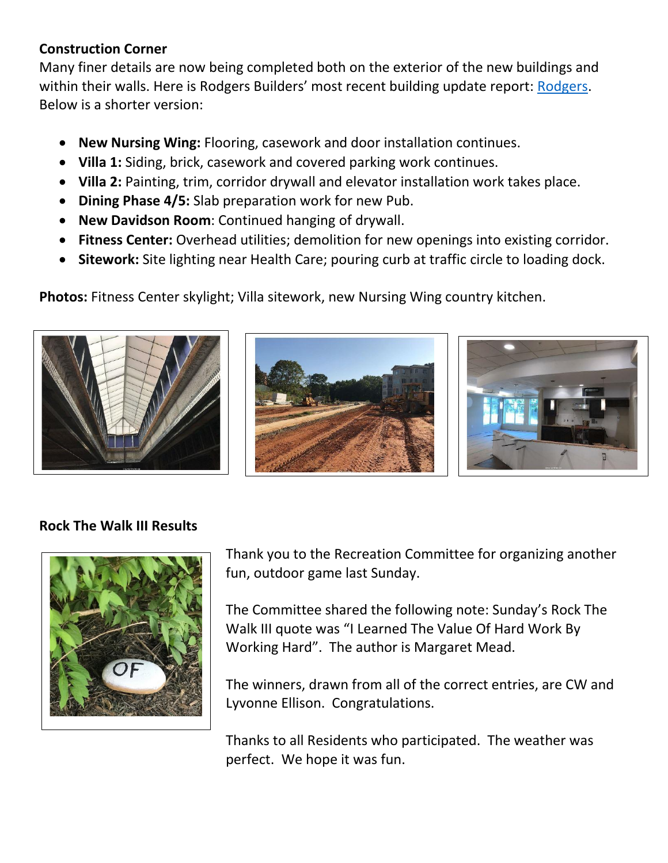#### **Construction Corner**

Many finer details are now being completed both on the exterior of the new buildings and within their walls. Here is Rodgers Builders' most recent building update report: [Rodgers.](https://www.mycommunity-center.com/filephotos/463/2020-09-04%20Weekly%20Update.pdf) Below is a shorter version:

- **New Nursing Wing:** Flooring, casework and door installation continues.
- **Villa 1:** Siding, brick, casework and covered parking work continues.
- **Villa 2:** Painting, trim, corridor drywall and elevator installation work takes place.
- **Dining Phase 4/5:** Slab preparation work for new Pub.
- **New Davidson Room**: Continued hanging of drywall.
- **Fitness Center:** Overhead utilities; demolition for new openings into existing corridor.
- **Sitework:** Site lighting near Health Care; pouring curb at traffic circle to loading dock.

**Photos:** Fitness Center skylight; Villa sitework, new Nursing Wing country kitchen.







### **Rock The Walk III Results**



Thank you to the Recreation Committee for organizing another fun, outdoor game last Sunday.

The Committee shared the following note: Sunday's Rock The Walk III quote was "I Learned The Value Of Hard Work By Working Hard". The author is Margaret Mead.

The winners, drawn from all of the correct entries, are CW and Lyvonne Ellison. Congratulations.

Thanks to all Residents who participated. The weather was perfect. We hope it was fun.